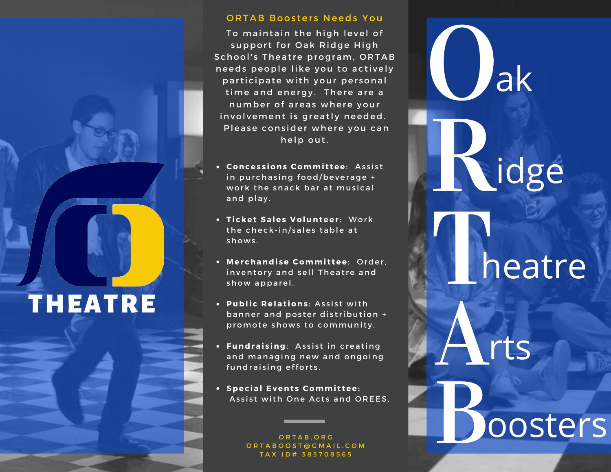# **THEATRE**

#### ORTAB Boosters Needs You

To maintain the high level of support for Oak Ridge High School's Theatre program, ORTAB needs people like you to actively participate with your personal time and energy. There are a number of areas where your involvement is greatly needed. Please consider where you can help out.

- **Concessions Committee**: Assist in purchasing food/beverage + work the snack bar at musical and play.
- **Ticket Sales Volunteer: Work** the check-in/sales table at shows.
- **Merchandise Committee**: Order, inventory and sell Theatre and show apparel.
- **Public Relations**: Assist with banner and poster distribution + promote shows to community.
- Fundraising: Assist in creating and managing new and ongoing fundraising efforts.
- **S p e c i a l E v e n t s C o m m i t t e e :** Assist with One Acts and OREES.

ORTAB.ORG ORTABOOST@GMAIL.COM TAX ID# 383708565

heatre

idge

a k

Oa<br>Riche<br>Boc oosters

rts